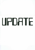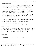$10.23$   $10.40$ 

 $U$ pdate  $2/3/75$ 

 $t$ ak 1 of 2

# CARDIAC CATH LAB TO OPEN

ON OR ABOUT FEBRUARY 17, the Hospital Center will add Cardiac Catheterization to its already considerable capabilities for the care of cardiac patients. With the opening of the laboratory, located in 3C, it is anticipated that the hospital's diagnostic capability with regard to cardiac disease will be greatly enhanced.

The laboratory's equipment permits catheters to be placed in various cardiac chambers in order to obtain information regarding abnormal cardiac valves, inborne heart defects and the blockage of coronary arteries. With the exact knowledge that these measures can provide, important decisions can be made with greater confidence concerning the medical and/or surgical treatment of cardiac patients.

Pressure measurements in the various heart chambers, oxygen content of the blood in those chambers, measurement of the amount of blood pumped by the heart, demonstration of abnormal connections between the various heart chambers, and structural analyses of the heart chambers and coronary arteries are among the many studies that can be performed in the laboratory. In addition, temporary pacemakers will be able to be placed.

Over 1,000 patients have undergone cardiac catheterization in our community since the first laboratory for that purpose was instituted at The Allentown Hospital. Relocation of these facilities to the Hospital Center marks another significant step toward the development of this hospital as a complete cardiac care center.

Dr. Pieter Knibbe will be in charge of the laboratory.

 $\star$   $\star$   $\star$ 

## MEDICAL STAFF NOTES

STAFF MEMBERSHIP rose to 265 when the Board of Directors approved the applications of 16 physicians on January 9. They are Doctors Mitchell E. Blum, Robert H. Dilcher, Robert A. Feeney, LeRoy B. Gerchman, Edward J. Haberern, Russel H. Jenkins, Shin K. Joh, Henry Kozloff, Joseph A. Lieberman, III, Bohdan Malyk, John J. Mecca, Gerald M. Miller, James M. Orsi, Osher S. Pais, Toeruna S. Widge, and LeRoy S. Wolf, Jr.

> $\star$  $\star$

### A NOTE OF CAUTION

INSTRUMENTS have been coming down with soiled linen from all parts of the hospital with increasing frequency. Please look twice to prevent this from happening.

#### SUGGESTION BOX

IN THE CAFETERIA is where you'll find it. And it's there for you to use. All suggestions are reviewed individually, and several being studied now may very well be implemented in the near future. We welcome suggestions for improvements that will affect you, the Hospital Center, and most of all...our patients.